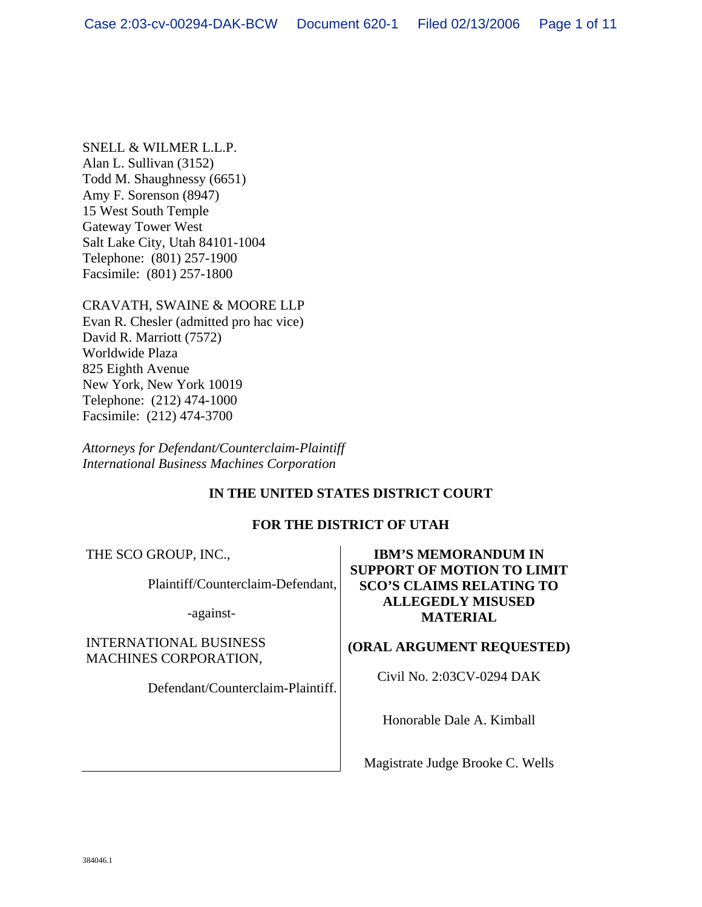SNELL & WILMER L.L.P. Alan L. Sullivan (3152) Todd M. Shaughnessy (6651) Amy F. Sorenson (8947) 15 West South Temple Gateway Tower West Salt Lake City, Utah 84101-1004 Telephone: (801) 257-1900 Facsimile: (801) 257-1800

CRAVATH, SWAINE & MOORE LLP Evan R. Chesler (admitted pro hac vice) David R. Marriott (7572) Worldwide Plaza 825 Eighth Avenue New York, New York 10019 Telephone: (212) 474-1000 Facsimile: (212) 474-3700

*Attorneys for Defendant/Counterclaim-Plaintiff International Business Machines Corporation* 

# **IN THE UNITED STATES DISTRICT COURT**

## **FOR THE DISTRICT OF UTAH**

THE SCO GROUP, INC.,

Plaintiff/Counterclaim-Defendant,

-against-

INTERNATIONAL BUSINESS MACHINES CORPORATION,

Defendant/Counterclaim-Plaintiff.

# **IBM'S MEMORANDUM IN SUPPORT OF MOTION TO LIMIT SCO'S CLAIMS RELATING TO ALLEGEDLY MISUSED MATERIAL**

## **(ORAL ARGUMENT REQUESTED)**

Civil No. 2:03CV-0294 DAK

Honorable Dale A. Kimball

Magistrate Judge Brooke C. Wells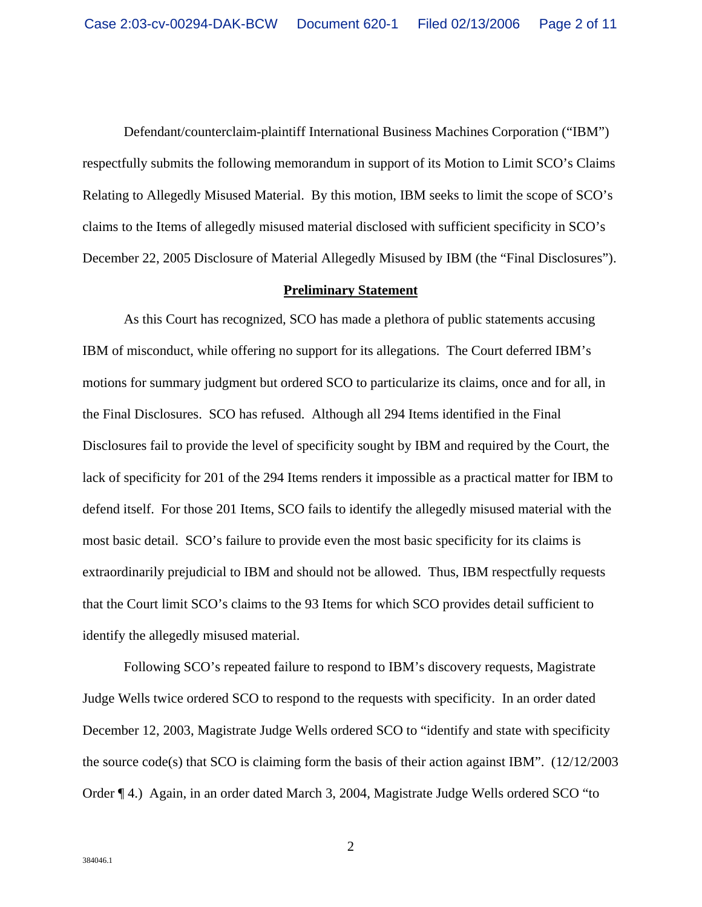Defendant/counterclaim-plaintiff International Business Machines Corporation ("IBM") respectfully submits the following memorandum in support of its Motion to Limit SCO's Claims Relating to Allegedly Misused Material. By this motion, IBM seeks to limit the scope of SCO's claims to the Items of allegedly misused material disclosed with sufficient specificity in SCO's December 22, 2005 Disclosure of Material Allegedly Misused by IBM (the "Final Disclosures").

#### **Preliminary Statement**

As this Court has recognized, SCO has made a plethora of public statements accusing IBM of misconduct, while offering no support for its allegations. The Court deferred IBM's motions for summary judgment but ordered SCO to particularize its claims, once and for all, in the Final Disclosures. SCO has refused. Although all 294 Items identified in the Final Disclosures fail to provide the level of specificity sought by IBM and required by the Court, the lack of specificity for 201 of the 294 Items renders it impossible as a practical matter for IBM to defend itself. For those 201 Items, SCO fails to identify the allegedly misused material with the most basic detail. SCO's failure to provide even the most basic specificity for its claims is extraordinarily prejudicial to IBM and should not be allowed. Thus, IBM respectfully requests that the Court limit SCO's claims to the 93 Items for which SCO provides detail sufficient to identify the allegedly misused material.

Following SCO's repeated failure to respond to IBM's discovery requests, Magistrate Judge Wells twice ordered SCO to respond to the requests with specificity. In an order dated December 12, 2003, Magistrate Judge Wells ordered SCO to "identify and state with specificity the source code(s) that SCO is claiming form the basis of their action against IBM". (12/12/2003 Order ¶ 4.) Again, in an order dated March 3, 2004, Magistrate Judge Wells ordered SCO "to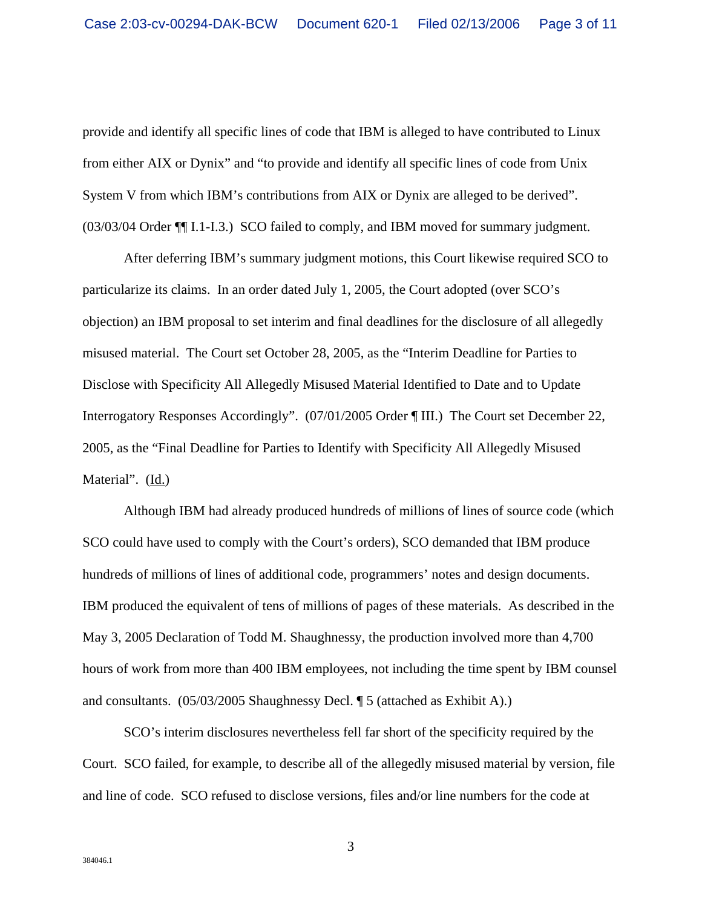provide and identify all specific lines of code that IBM is alleged to have contributed to Linux from either AIX or Dynix" and "to provide and identify all specific lines of code from Unix System V from which IBM's contributions from AIX or Dynix are alleged to be derived". (03/03/04 Order ¶¶ I.1-I.3.) SCO failed to comply, and IBM moved for summary judgment.

After deferring IBM's summary judgment motions, this Court likewise required SCO to particularize its claims. In an order dated July 1, 2005, the Court adopted (over SCO's objection) an IBM proposal to set interim and final deadlines for the disclosure of all allegedly misused material. The Court set October 28, 2005, as the "Interim Deadline for Parties to Disclose with Specificity All Allegedly Misused Material Identified to Date and to Update Interrogatory Responses Accordingly". (07/01/2005 Order ¶ III.) The Court set December 22, 2005, as the "Final Deadline for Parties to Identify with Specificity All Allegedly Misused Material". (Id.)

Although IBM had already produced hundreds of millions of lines of source code (which SCO could have used to comply with the Court's orders), SCO demanded that IBM produce hundreds of millions of lines of additional code, programmers' notes and design documents. IBM produced the equivalent of tens of millions of pages of these materials. As described in the May 3, 2005 Declaration of Todd M. Shaughnessy, the production involved more than 4,700 hours of work from more than 400 IBM employees, not including the time spent by IBM counsel and consultants. (05/03/2005 Shaughnessy Decl. ¶ 5 (attached as Exhibit A).)

SCO's interim disclosures nevertheless fell far short of the specificity required by the Court. SCO failed, for example, to describe all of the allegedly misused material by version, file and line of code. SCO refused to disclose versions, files and/or line numbers for the code at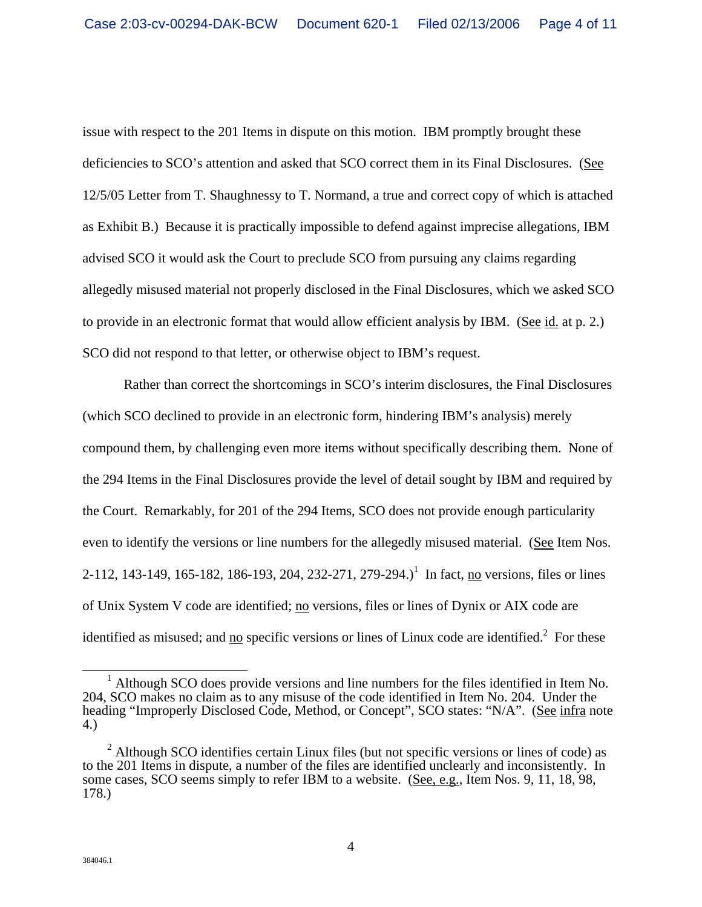issue with respect to the 201 Items in dispute on this motion. IBM promptly brought these deficiencies to SCO's attention and asked that SCO correct them in its Final Disclosures. (See 12/5/05 Letter from T. Shaughnessy to T. Normand, a true and correct copy of which is attached as Exhibit B.) Because it is practically impossible to defend against imprecise allegations, IBM advised SCO it would ask the Court to preclude SCO from pursuing any claims regarding allegedly misused material not properly disclosed in the Final Disclosures, which we asked SCO to provide in an electronic format that would allow efficient analysis by IBM. (See id. at p. 2.) SCO did not respond to that letter, or otherwise object to IBM's request.

Rather than correct the shortcomings in SCO's interim disclosures, the Final Disclosures (which SCO declined to provide in an electronic form, hindering IBM's analysis) merely compound them, by challenging even more items without specifically describing them. None of the 294 Items in the Final Disclosures provide the level of detail sought by IBM and required by the Court. Remarkably, for 201 of the 294 Items, SCO does not provide enough particularity even to identify the versions or line numbers for the allegedly misused material. (See Item Nos. 2-112, 143-149, 165-182, 186-193, 204, 232-271, 279-294.)<sup>1</sup> In fact, <u>no</u> versions, files or lines of Unix System V code are identified; no versions, files or lines of Dynix or AIX code are identified as misused; and  $\underline{no}$  specific versions or lines of Linux code are identified.<sup>2</sup> For these

<sup>&</sup>lt;sup>1</sup> Although SCO does provide versions and line numbers for the files identified in Item No. 204, SCO makes no claim as to any misuse of the code identified in Item No. 204. Under the heading "Improperly Disclosed Code, Method, or Concept", SCO states: "N/A". (See infra note 4.)

 $2$  Although SCO identifies certain Linux files (but not specific versions or lines of code) as to the 201 Items in dispute, a number of the files are identified unclearly and inconsistently. In some cases, SCO seems simply to refer IBM to a website. (See, e.g., Item Nos. 9, 11, 18, 98, 178.)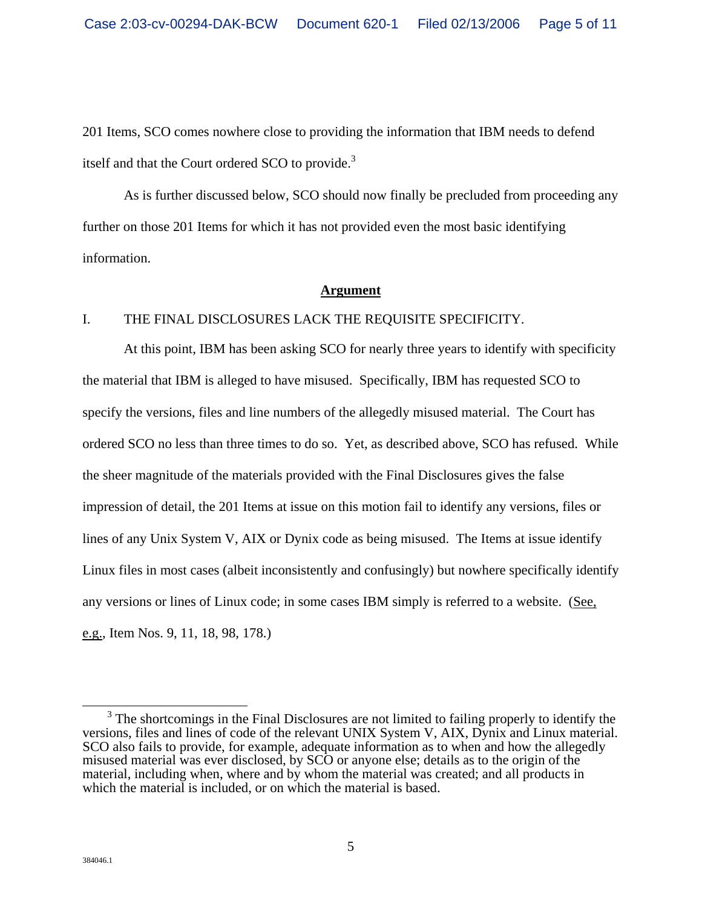201 Items, SCO comes nowhere close to providing the information that IBM needs to defend itself and that the Court ordered SCO to provide.<sup>3</sup>

As is further discussed below, SCO should now finally be precluded from proceeding any further on those 201 Items for which it has not provided even the most basic identifying information.

#### **Argument**

### I. THE FINAL DISCLOSURES LACK THE REQUISITE SPECIFICITY.

At this point, IBM has been asking SCO for nearly three years to identify with specificity the material that IBM is alleged to have misused. Specifically, IBM has requested SCO to specify the versions, files and line numbers of the allegedly misused material. The Court has ordered SCO no less than three times to do so. Yet, as described above, SCO has refused. While the sheer magnitude of the materials provided with the Final Disclosures gives the false impression of detail, the 201 Items at issue on this motion fail to identify any versions, files or lines of any Unix System V, AIX or Dynix code as being misused. The Items at issue identify Linux files in most cases (albeit inconsistently and confusingly) but nowhere specifically identify any versions or lines of Linux code; in some cases IBM simply is referred to a website. (See, e.g., Item Nos. 9, 11, 18, 98, 178.)

 $\frac{1}{3}$  $3$  The shortcomings in the Final Disclosures are not limited to failing properly to identify the versions, files and lines of code of the relevant UNIX System V, AIX, Dynix and Linux material. SCO also fails to provide, for example, adequate information as to when and how the allegedly misused material was ever disclosed, by SCO or anyone else; details as to the origin of the material, including when, where and by whom the material was created; and all products in which the material is included, or on which the material is based.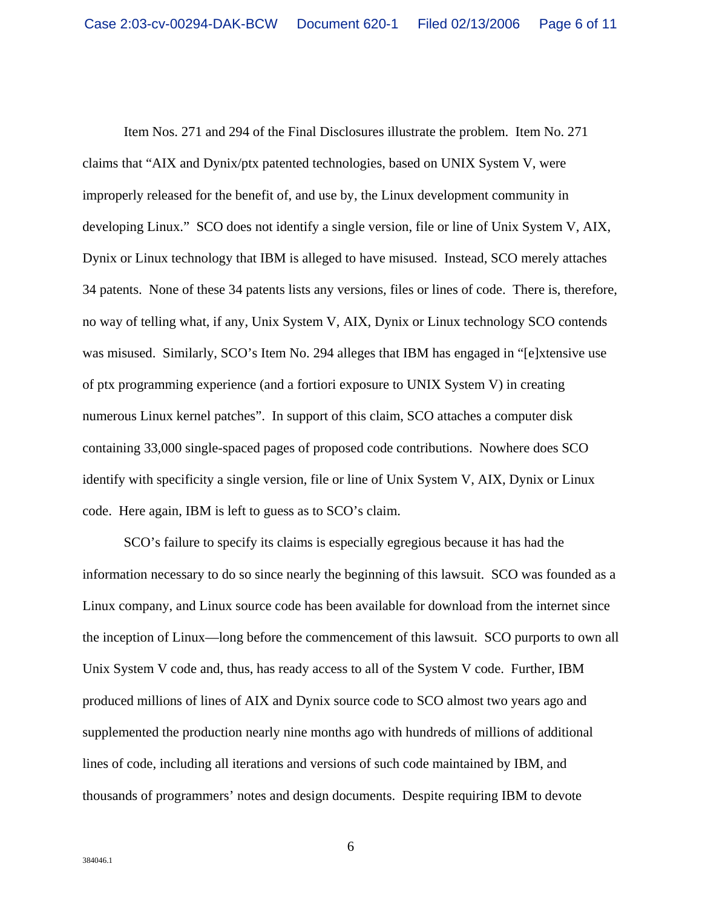Item Nos. 271 and 294 of the Final Disclosures illustrate the problem. Item No. 271 claims that "AIX and Dynix/ptx patented technologies, based on UNIX System V, were improperly released for the benefit of, and use by, the Linux development community in developing Linux." SCO does not identify a single version, file or line of Unix System V, AIX, Dynix or Linux technology that IBM is alleged to have misused. Instead, SCO merely attaches 34 patents. None of these 34 patents lists any versions, files or lines of code. There is, therefore, no way of telling what, if any, Unix System V, AIX, Dynix or Linux technology SCO contends was misused. Similarly, SCO's Item No. 294 alleges that IBM has engaged in "[e]xtensive use of ptx programming experience (and a fortiori exposure to UNIX System V) in creating numerous Linux kernel patches". In support of this claim, SCO attaches a computer disk containing 33,000 single-spaced pages of proposed code contributions. Nowhere does SCO identify with specificity a single version, file or line of Unix System V, AIX, Dynix or Linux code. Here again, IBM is left to guess as to SCO's claim.

SCO's failure to specify its claims is especially egregious because it has had the information necessary to do so since nearly the beginning of this lawsuit. SCO was founded as a Linux company, and Linux source code has been available for download from the internet since the inception of Linux—long before the commencement of this lawsuit. SCO purports to own all Unix System V code and, thus, has ready access to all of the System V code. Further, IBM produced millions of lines of AIX and Dynix source code to SCO almost two years ago and supplemented the production nearly nine months ago with hundreds of millions of additional lines of code, including all iterations and versions of such code maintained by IBM, and thousands of programmers' notes and design documents. Despite requiring IBM to devote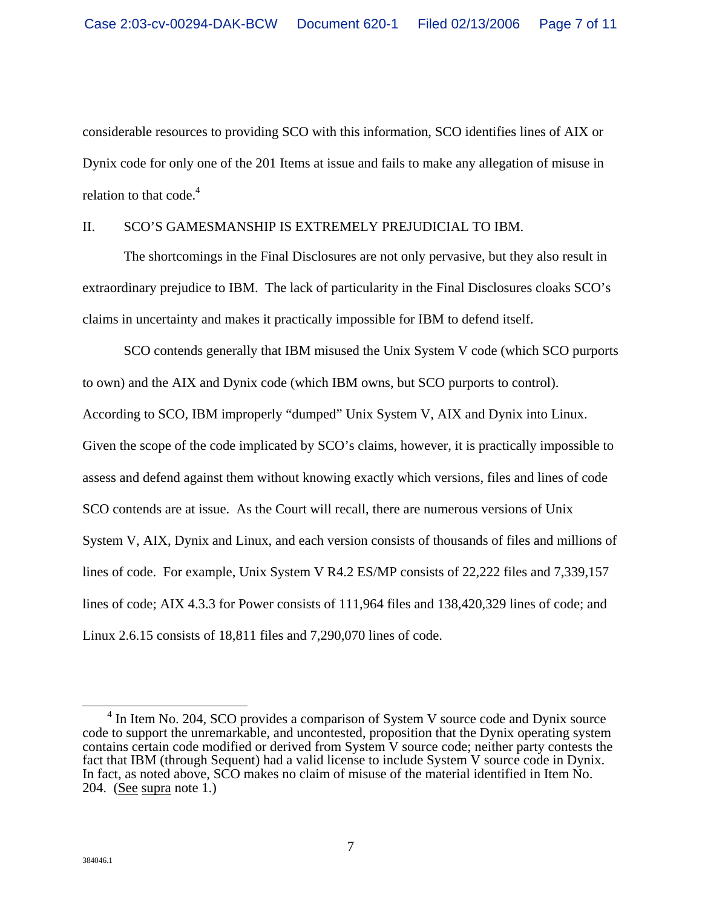considerable resources to providing SCO with this information, SCO identifies lines of AIX or Dynix code for only one of the 201 Items at issue and fails to make any allegation of misuse in relation to that  $code.<sup>4</sup>$ 

### II. SCO'S GAMESMANSHIP IS EXTREMELY PREJUDICIAL TO IBM.

The shortcomings in the Final Disclosures are not only pervasive, but they also result in extraordinary prejudice to IBM. The lack of particularity in the Final Disclosures cloaks SCO's claims in uncertainty and makes it practically impossible for IBM to defend itself.

SCO contends generally that IBM misused the Unix System V code (which SCO purports to own) and the AIX and Dynix code (which IBM owns, but SCO purports to control). According to SCO, IBM improperly "dumped" Unix System V, AIX and Dynix into Linux. Given the scope of the code implicated by SCO's claims, however, it is practically impossible to assess and defend against them without knowing exactly which versions, files and lines of code SCO contends are at issue. As the Court will recall, there are numerous versions of Unix System V, AIX, Dynix and Linux, and each version consists of thousands of files and millions of lines of code. For example, Unix System V R4.2 ES/MP consists of 22,222 files and 7,339,157 lines of code; AIX 4.3.3 for Power consists of 111,964 files and 138,420,329 lines of code; and Linux 2.6.15 consists of 18,811 files and 7,290,070 lines of code.

 $\frac{1}{4}$  $4$  In Item No. 204, SCO provides a comparison of System V source code and Dynix source code to support the unremarkable, and uncontested, proposition that the Dynix operating system contains certain code modified or derived from System V source code; neither party contests the fact that IBM (through Sequent) had a valid license to include System V source code in Dynix. In fact, as noted above, SCO makes no claim of misuse of the material identified in Item No. 204. (See supra note 1.)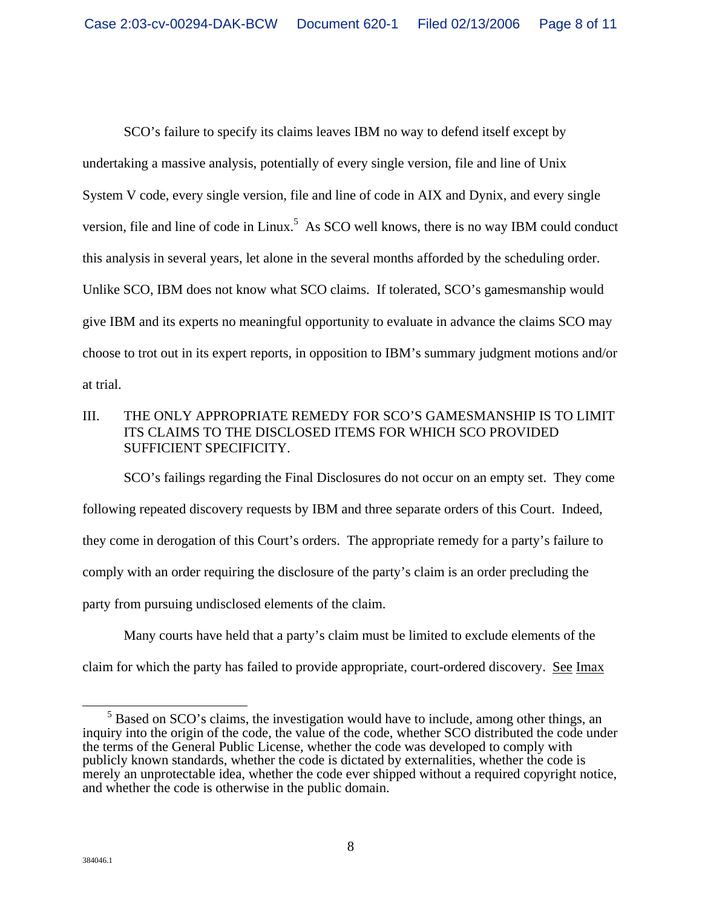SCO's failure to specify its claims leaves IBM no way to defend itself except by undertaking a massive analysis, potentially of every single version, file and line of Unix System V code, every single version, file and line of code in AIX and Dynix, and every single version, file and line of code in Linux.<sup>5</sup> As SCO well knows, there is no way IBM could conduct this analysis in several years, let alone in the several months afforded by the scheduling order. Unlike SCO, IBM does not know what SCO claims. If tolerated, SCO's gamesmanship would give IBM and its experts no meaningful opportunity to evaluate in advance the claims SCO may choose to trot out in its expert reports, in opposition to IBM's summary judgment motions and/or at trial.

## III. THE ONLY APPROPRIATE REMEDY FOR SCO'S GAMESMANSHIP IS TO LIMIT ITS CLAIMS TO THE DISCLOSED ITEMS FOR WHICH SCO PROVIDED SUFFICIENT SPECIFICITY.

SCO's failings regarding the Final Disclosures do not occur on an empty set. They come following repeated discovery requests by IBM and three separate orders of this Court. Indeed, they come in derogation of this Court's orders. The appropriate remedy for a party's failure to comply with an order requiring the disclosure of the party's claim is an order precluding the party from pursuing undisclosed elements of the claim.

 Many courts have held that a party's claim must be limited to exclude elements of the claim for which the party has failed to provide appropriate, court-ordered discovery. See Imax

 $\frac{1}{5}$  $<sup>5</sup>$  Based on SCO's claims, the investigation would have to include, among other things, an</sup> inquiry into the origin of the code, the value of the code, whether SCO distributed the code under the terms of the General Public License, whether the code was developed to comply with publicly known standards, whether the code is dictated by externalities, whether the code is merely an unprotectable idea, whether the code ever shipped without a required copyright notice, and whether the code is otherwise in the public domain.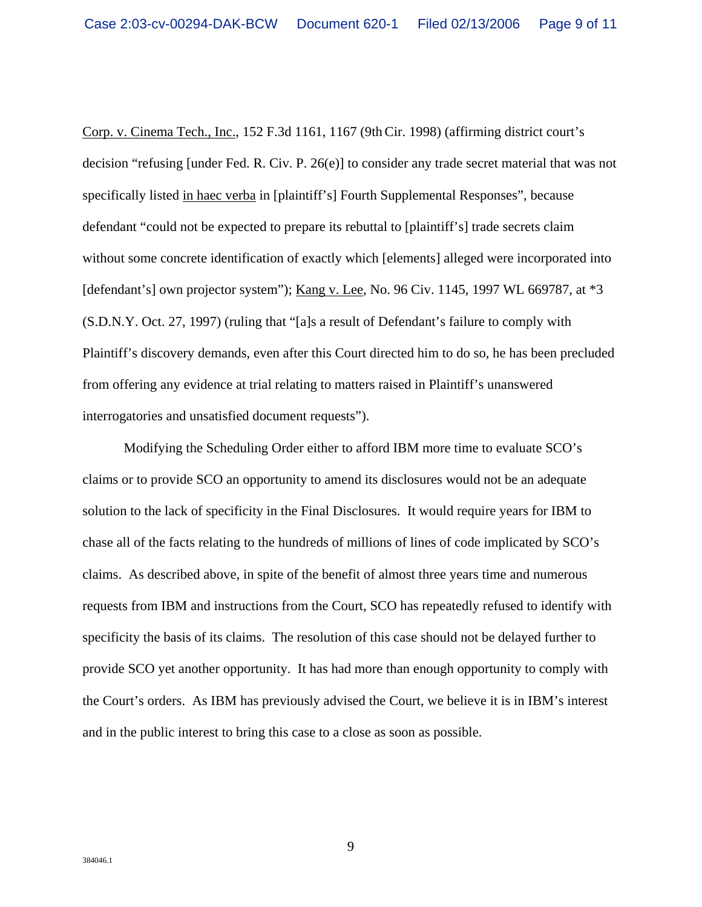Corp. v. Cinema Tech., Inc., 152 F.3d 1161, 1167 (9thCir. 1998) (affirming district court's decision "refusing [under Fed. R. Civ. P. 26(e)] to consider any trade secret material that was not specifically listed in haec verba in [plaintiff's] Fourth Supplemental Responses", because defendant "could not be expected to prepare its rebuttal to [plaintiff's] trade secrets claim without some concrete identification of exactly which [elements] alleged were incorporated into [defendant's] own projector system"); Kang v. Lee, No. 96 Civ. 1145, 1997 WL 669787, at \*3 (S.D.N.Y. Oct. 27, 1997) (ruling that "[a]s a result of Defendant's failure to comply with Plaintiff's discovery demands, even after this Court directed him to do so, he has been precluded from offering any evidence at trial relating to matters raised in Plaintiff's unanswered interrogatories and unsatisfied document requests").

Modifying the Scheduling Order either to afford IBM more time to evaluate SCO's claims or to provide SCO an opportunity to amend its disclosures would not be an adequate solution to the lack of specificity in the Final Disclosures. It would require years for IBM to chase all of the facts relating to the hundreds of millions of lines of code implicated by SCO's claims. As described above, in spite of the benefit of almost three years time and numerous requests from IBM and instructions from the Court, SCO has repeatedly refused to identify with specificity the basis of its claims. The resolution of this case should not be delayed further to provide SCO yet another opportunity. It has had more than enough opportunity to comply with the Court's orders. As IBM has previously advised the Court, we believe it is in IBM's interest and in the public interest to bring this case to a close as soon as possible.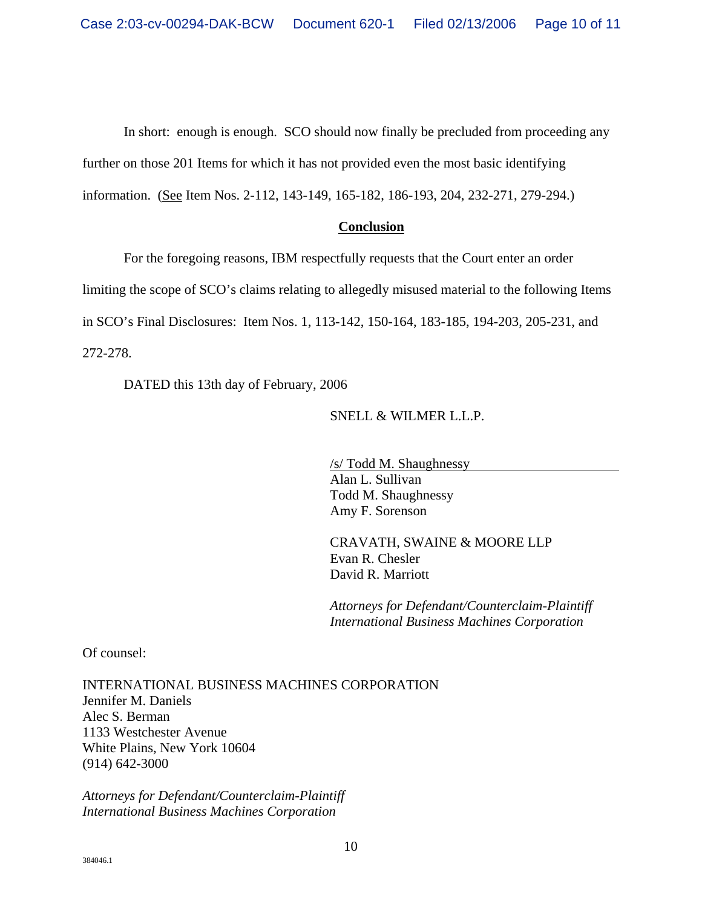In short: enough is enough. SCO should now finally be precluded from proceeding any

further on those 201 Items for which it has not provided even the most basic identifying

information. (See Item Nos. 2-112, 143-149, 165-182, 186-193, 204, 232-271, 279-294.)

## **Conclusion**

For the foregoing reasons, IBM respectfully requests that the Court enter an order

limiting the scope of SCO's claims relating to allegedly misused material to the following Items

in SCO's Final Disclosures: Item Nos. 1, 113-142, 150-164, 183-185, 194-203, 205-231, and

272-278.

DATED this 13th day of February, 2006

SNELL & WILMER L.L.P.

/s/ Todd M. Shaughnessy Alan L. Sullivan Todd M. Shaughnessy Amy F. Sorenson

CRAVATH, SWAINE & MOORE LLP Evan R. Chesler David R. Marriott

*Attorneys for Defendant/Counterclaim-Plaintiff International Business Machines Corporation* 

Of counsel:

INTERNATIONAL BUSINESS MACHINES CORPORATION Jennifer M. Daniels Alec S. Berman 1133 Westchester Avenue White Plains, New York 10604 (914) 642-3000

*Attorneys for Defendant/Counterclaim-Plaintiff International Business Machines Corporation*